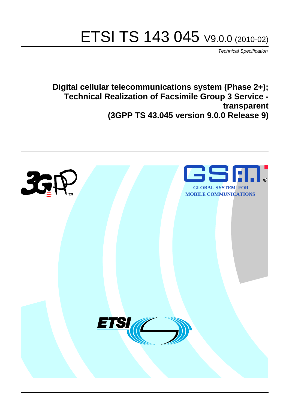# ETSI TS 143 045 V9.0.0 (2010-02)

*Technical Specification*

**Digital cellular telecommunications system (Phase 2+); Technical Realization of Facsimile Group 3 Service transparent (3GPP TS 43.045 version 9.0.0 Release 9)**

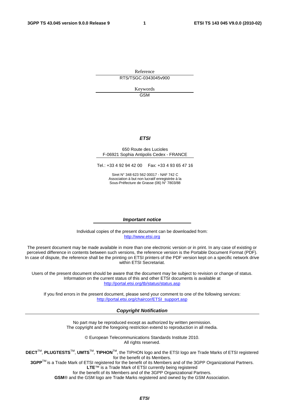Reference RTS/TSGC-0343045v900

> Keywords GSM

#### *ETSI*

#### 650 Route des Lucioles F-06921 Sophia Antipolis Cedex - FRANCE

Tel.: +33 4 92 94 42 00 Fax: +33 4 93 65 47 16

Siret N° 348 623 562 00017 - NAF 742 C Association à but non lucratif enregistrée à la Sous-Préfecture de Grasse (06) N° 7803/88

#### *Important notice*

Individual copies of the present document can be downloaded from: [http://www.etsi.org](http://www.etsi.org/)

The present document may be made available in more than one electronic version or in print. In any case of existing or perceived difference in contents between such versions, the reference version is the Portable Document Format (PDF). In case of dispute, the reference shall be the printing on ETSI printers of the PDF version kept on a specific network drive within ETSI Secretariat.

Users of the present document should be aware that the document may be subject to revision or change of status. Information on the current status of this and other ETSI documents is available at <http://portal.etsi.org/tb/status/status.asp>

If you find errors in the present document, please send your comment to one of the following services: [http://portal.etsi.org/chaircor/ETSI\\_support.asp](http://portal.etsi.org/chaircor/ETSI_support.asp)

#### *Copyright Notification*

No part may be reproduced except as authorized by written permission. The copyright and the foregoing restriction extend to reproduction in all media.

> © European Telecommunications Standards Institute 2010. All rights reserved.

**DECT**TM, **PLUGTESTS**TM, **UMTS**TM, **TIPHON**TM, the TIPHON logo and the ETSI logo are Trade Marks of ETSI registered for the benefit of its Members.

**3GPP**TM is a Trade Mark of ETSI registered for the benefit of its Members and of the 3GPP Organizational Partners. **LTE**™ is a Trade Mark of ETSI currently being registered

for the benefit of its Members and of the 3GPP Organizational Partners.

**GSM**® and the GSM logo are Trade Marks registered and owned by the GSM Association.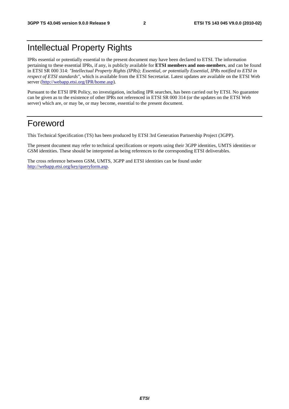# Intellectual Property Rights

IPRs essential or potentially essential to the present document may have been declared to ETSI. The information pertaining to these essential IPRs, if any, is publicly available for **ETSI members and non-members**, and can be found in ETSI SR 000 314: *"Intellectual Property Rights (IPRs); Essential, or potentially Essential, IPRs notified to ETSI in respect of ETSI standards"*, which is available from the ETSI Secretariat. Latest updates are available on the ETSI Web server ([http://webapp.etsi.org/IPR/home.asp\)](http://webapp.etsi.org/IPR/home.asp).

Pursuant to the ETSI IPR Policy, no investigation, including IPR searches, has been carried out by ETSI. No guarantee can be given as to the existence of other IPRs not referenced in ETSI SR 000 314 (or the updates on the ETSI Web server) which are, or may be, or may become, essential to the present document.

# Foreword

This Technical Specification (TS) has been produced by ETSI 3rd Generation Partnership Project (3GPP).

The present document may refer to technical specifications or reports using their 3GPP identities, UMTS identities or GSM identities. These should be interpreted as being references to the corresponding ETSI deliverables.

The cross reference between GSM, UMTS, 3GPP and ETSI identities can be found under [http://webapp.etsi.org/key/queryform.asp.](http://webapp.etsi.org/key/queryform.asp)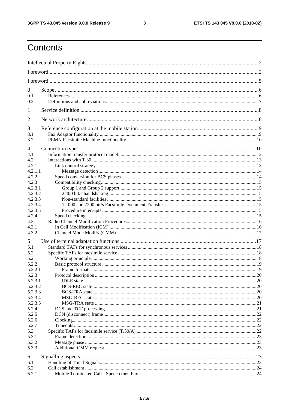$\mathbf{3}$ 

# Contents

| $\boldsymbol{0}$ |  |  |  |  |  |
|------------------|--|--|--|--|--|
| 0.1              |  |  |  |  |  |
| 0.2              |  |  |  |  |  |
| 1                |  |  |  |  |  |
| $\overline{2}$   |  |  |  |  |  |
| 3                |  |  |  |  |  |
| 3.1              |  |  |  |  |  |
| 3.2              |  |  |  |  |  |
| $\overline{4}$   |  |  |  |  |  |
| 4.1              |  |  |  |  |  |
| 4.2              |  |  |  |  |  |
| 4.2.1            |  |  |  |  |  |
| 4.2.1.1          |  |  |  |  |  |
| 4.2.2            |  |  |  |  |  |
| 4.2.3            |  |  |  |  |  |
| 4.2.3.1          |  |  |  |  |  |
| 4.2.3.2          |  |  |  |  |  |
| 4.2.3.3          |  |  |  |  |  |
| 4.2.3.4          |  |  |  |  |  |
| 4.2.3.5          |  |  |  |  |  |
| 4.2.4            |  |  |  |  |  |
| 4.3              |  |  |  |  |  |
| 4.3.1            |  |  |  |  |  |
| 4.3.2            |  |  |  |  |  |
| 5                |  |  |  |  |  |
| 5.1              |  |  |  |  |  |
| 5.2              |  |  |  |  |  |
| 5.2.1            |  |  |  |  |  |
| 5.2.2            |  |  |  |  |  |
| 5.2.2.1          |  |  |  |  |  |
| 5.2.3            |  |  |  |  |  |
| 5.2.3.1          |  |  |  |  |  |
| 5.2.3.2          |  |  |  |  |  |
| 5.2.3.3          |  |  |  |  |  |
| 5.2.3.4          |  |  |  |  |  |
| 5.2.3.5<br>5.2.4 |  |  |  |  |  |
| 5.2.5            |  |  |  |  |  |
| 5.2.6            |  |  |  |  |  |
| 5.2.7            |  |  |  |  |  |
| 5.3              |  |  |  |  |  |
| 5.3.1            |  |  |  |  |  |
| 5.3.2            |  |  |  |  |  |
| 5.3.3            |  |  |  |  |  |
|                  |  |  |  |  |  |
| 6                |  |  |  |  |  |
| 6.1              |  |  |  |  |  |
| 6.2              |  |  |  |  |  |
| 6.2.1            |  |  |  |  |  |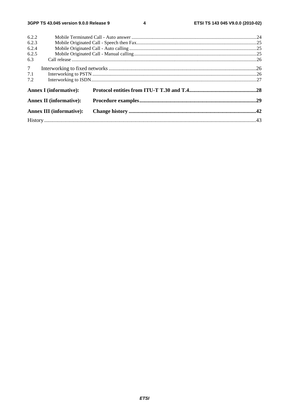$\overline{\mathbf{4}}$ 

| 6.2.2          |                                 |  |  |  |  |
|----------------|---------------------------------|--|--|--|--|
| 6.2.3          |                                 |  |  |  |  |
| 6.2.4          |                                 |  |  |  |  |
| 6.2.5          |                                 |  |  |  |  |
| 6.3            |                                 |  |  |  |  |
| 7 <sup>7</sup> |                                 |  |  |  |  |
| 7.1            |                                 |  |  |  |  |
| 7.2            |                                 |  |  |  |  |
|                | <b>Annex I</b> (informative):   |  |  |  |  |
|                | <b>Annex II (informative):</b>  |  |  |  |  |
|                | <b>Annex III (informative):</b> |  |  |  |  |
|                |                                 |  |  |  |  |
|                |                                 |  |  |  |  |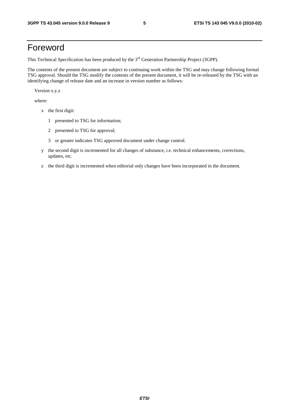# Foreword

This Technical Specification has been produced by the 3<sup>rd</sup> Generation Partnership Project (3GPP).

The contents of the present document are subject to continuing work within the TSG and may change following formal TSG approval. Should the TSG modify the contents of the present document, it will be re-released by the TSG with an identifying change of release date and an increase in version number as follows:

Version x.y.z

where:

- x the first digit:
	- 1 presented to TSG for information;
	- 2 presented to TSG for approval;
	- 3 or greater indicates TSG approved document under change control.
- y the second digit is incremented for all changes of substance, i.e. technical enhancements, corrections, updates, etc.
- z the third digit is incremented when editorial only changes have been incorporated in the document.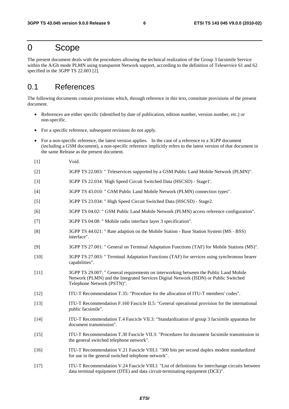# 0 Scope

The present document deals with the procedures allowing the technical realization of the Group 3 facsimile Service within the A/Gb mode PLMN using transparent Network support, according to the definition of Teleservice 61 and 62 specified in the 3GPP TS 22.003 [2].

# 0.1 References

The following documents contain provisions which, through reference in this text, constitute provisions of the present document.

- References are either specific (identified by date of publication, edition number, version number, etc.) or non-specific.
- For a specific reference, subsequent revisions do not apply.
- For a non-specific reference, the latest version applies. In the case of a reference to a 3GPP document (including a GSM document), a non-specific reference implicitly refers to the latest version of that document in the same Release as the present document.
- [1] Void.
- [2] 3GPP TS 22.003: " Teleservices supported by a GSM Public Land Mobile Network (PLMN)".
- [3] 3GPP TS 22.034: 'High Speed Circuit Switched Data (HSCSD) Stage1'.
- [4] 3GPP TS 43.010: " GSM Public Land Mobile Network (PLMN) connection types".
- [5] 3GPP TS 23.034: " High Speed Circuit Switched Data (HSCSD) Stage2.
- [6] 3GPP TS 04.02: " GSM Public Land Mobile Network (PLMN) access reference configuration".
- [7] 3GPP TS 04.08: " Mobile radio interface layer 3 specification".
- [8] 3GPP TS 44.021: " Rate adaption on the Mobile Station Base Station System (MS BSS) interface".
- [9] 3GPP TS 27.001: " General on Terminal Adaptation Functions (TAF) for Mobile Stations (MS)".
- [10] 3GPP TS 27.003: " Terminal Adaptation Functions (TAF) for services using synchronous bearer capabilities".
- [11] 3GPP TS 29.007: " General requirements on interworking between the Public Land Mobile Network (PLMN) and the Integrated Services Digital Network (ISDN) or Public Switched Telephone Network (PSTN)".
- [12] ITU-T Recommendation T.35: "Procedure for the allocation of ITU-T members' codes".
- [13] ITU-T Recommendation F.160 Fascicle II.5: "General operational provision for the international public facsimile".
- [14] ITU-T Recommendation T.4 Fascicle VII.3: "Standardization of group 3 facsimile apparatus for document transmission".
- [15] ITU-T Recommendation T.30 Fascicle VII.3: "Procedures for document facsimile transmission in the general switched telephone network".
- [16] ITU-T Recommendation V.21 Fascicle VIII.l: "300 bits per second duplex modem standardized for use in the general switched telephone network".
- [17] ITU-T Recommendation V.24 Fascicle VIII.l: "List of definitions for interchange circuits between data terminal equipment (DTE) and data circuit-terminating equipment (DCE)".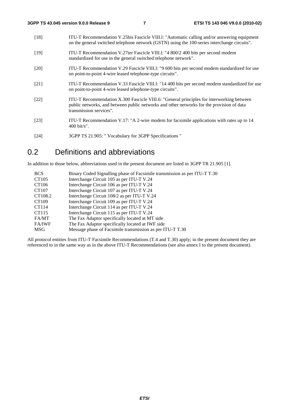| [18]               | ITU-T Recommendation V.25bis Fascicle VIII.1: "Automatic calling and/or answering equipment<br>on the general switched telephone network (GSTN) using the 100-series interchange circuits".                      |
|--------------------|------------------------------------------------------------------------------------------------------------------------------------------------------------------------------------------------------------------|
| $[19]$             | ITU-T Recommendation V.27ter Fascicle VIII.1: "4 800/2 400 bits per second modem<br>standardized for use in the general switched telephone network".                                                             |
| $\lceil 20 \rceil$ | ITU-T Recommendation V.29 Fascicle VIII.1: "9 600 bits per second modem standardized for use<br>on point-to-point 4-wire leased telephone-type circuits".                                                        |
| [21]               | ITU-T Recommendation V.33 Fascicle VIII.1: "14 400 bits per second modem standardized for use<br>on point-to-point 4-wire leased telephone-type circuits".                                                       |
| [22]               | ITU-T Recommendation X.300 Fascicle VIII.6: "General principles for interworking between<br>public networks, and between public networks and other networks for the provision of data<br>transmission services". |
| [23]               | ITU-T Recommendation V.17: "A 2-wire modem for facsimile applications with rates up to 14<br>$400 \text{ bit/s}$ ".                                                                                              |

[24] 3GPP TS 21.905: " Vocabulary for 3GPP Specifications "

# 0.2 Definitions and abbreviations

In addition to those below, abbreviations used in the present document are listed in 3GPP TR 21.905 [1].

| <b>BCS</b>    | Binary Coded Signalling phase of Facsimile transmission as per ITU-T T.30 |
|---------------|---------------------------------------------------------------------------|
| CT105         | Interchange Circuit 105 as per ITU-T V.24                                 |
| CT106         | Interchange Circuit 106 as per ITU-T V.24                                 |
| CT107         | Interchange Circuit 107 as per ITU-T V.24                                 |
| CT108.2       | Interchange Circuit 108/2 as per ITU-T V.24                               |
| CT109         | Interchange Circuit 109 as per ITU-T V.24                                 |
| CT114         | Interchange Circuit 114 as per ITU-T V.24                                 |
| CT115         | Interchange Circuit 115 as per ITU-T V.24                                 |
| FA/MT         | The Fax Adaptor specifically located at MT side                           |
| <b>FA/IWF</b> | The Fax Adaptor specifically located at IWF side                          |
| <b>MSG</b>    | Message phase of Facsimile transmission as per ITU-T T.30                 |

All protocol entities from ITU-T Facsimile Recommendations (T.4 and T.30) apply; in the present document they are referenced to in the same way as in the above ITU-T Recommendations (see also annex I to the present document).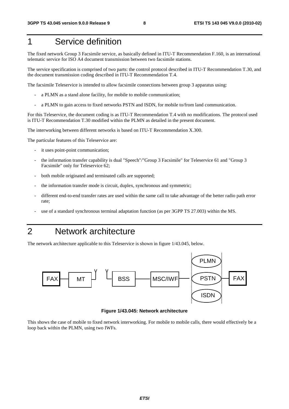# 1 Service definition

The fixed network Group 3 Facsimile service, as basically defined in ITU-T Recommendation F.160, is an international telematic service for ISO A4 document transmission between two facsimile stations.

The service specification is comprised of two parts: the control protocol described in ITU-T Recommendation T.30, and the document transmission coding described in ITU-T Recommendation T.4.

The facsimile Teleservice is intended to allow facsimile connections between group 3 apparatus using:

- a PLMN as a stand alone facility, for mobile to mobile communication;
- a PLMN to gain access to fixed networks PSTN and ISDN, for mobile to/from land communication.

For this Teleservice, the document coding is as ITU-T Recommendation T.4 with no modifications. The protocol used is ITU-T Recommendation T.30 modified within the PLMN as detailed in the present document.

The interworking between different networks is based on ITU-T Recommendation X.300.

The particular features of this Teleservice are:

- it uses point-point communication;
- the information transfer capability is dual "Speech"/"Group 3 Facsimile" for Teleservice 61 and "Group 3 Facsimile" only for Teleservice 62;
- both mobile originated and terminated calls are supported;
- the information transfer mode is circuit, duplex, synchronous and symmetric;
- different end-to-end transfer rates are used within the same call to take advantage of the better radio path error rate;
- use of a standard synchronous terminal adaptation function (as per 3GPP TS 27.003) within the MS.

# 2 Network architecture

The network architecture applicable to this Teleservice is shown in figure 1/43.045, below.



**Figure 1/43.045: Network architecture** 

This shows the case of mobile to fixed network interworking. For mobile to mobile calls, there would effectively be a loop back within the PLMN, using two IWFs.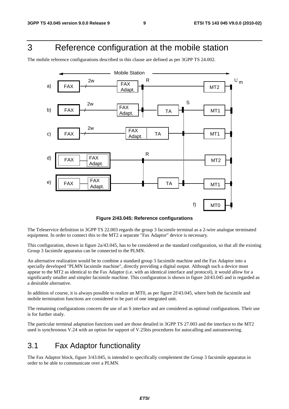# 3 Reference configuration at the mobile station

The mobile reference configurations described in this clause are defined as per 3GPP TS 24.002.



**Figure 2/43.045: Reference configurations** 

The Teleservice definition in 3GPP TS 22.003 regards the group 3 facsimile terminal as a 2-wire analogue terminated equipment. In order to connect this to the MT2 a separate "Fax Adaptor" device is necessary.

This configuration, shown in figure 2a/43.045, has to be considered as the standard configuration, so that all the existing Group 3 facsimile apparatus can be connected to the PLMN.

An alternative realization would be to combine a standard group 3 facsimile machine and the Fax Adaptor into a specially developed "PLMN facsimile machine", directly providing a digital output. Although such a device must appear to the MT2 as identical to the Fax Adaptor (i.e. with an identical interface and protocol), it would allow for a significantly smaller and simpler facsimile machine. This configuration is shown in figure 2d/43.045 and is regarded as a desirable alternative.

In addition of course, it is always possible to realize an MT0, as per figure 2f/43.045, where both the facsimile and mobile termination functions are considered to be part of one integrated unit.

The remaining configurations concern the use of an S interface and are considered as optional configurations. Their use is for further study.

The particular terminal adaptation functions used are those detailed in 3GPP TS 27.003 and the interface to the MT2 used is synchronous V.24 with an option for support of V.25bis procedures for autocalling and autoanswering.

# 3.1 Fax Adaptor functionality

The Fax Adaptor block, figure 3/43.045, is intended to specifically complement the Group 3 facsimile apparatus in order to be able to communicate over a PLMN.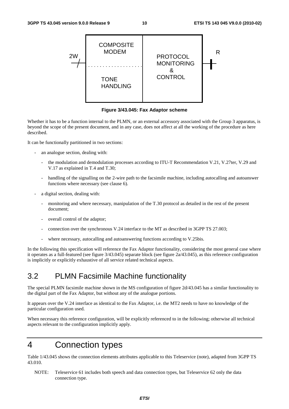

**Figure 3/43.045: Fax Adaptor scheme** 

Whether it has to be a function internal to the PLMN, or an external accessory associated with the Group 3 apparatus, is beyond the scope of the present document, and in any case, does not affect at all the working of the procedure as here described.

It can be functionally partitioned in two sections:

- an analogue section, dealing with:
	- the modulation and demodulation processes according to ITU-T Recommendation V.21, V.27ter, V.29 and V.17 as explained in T.4 and T.30;
	- handling of the signalling on the 2-wire path to the facsimile machine, including autocalling and autoanswer functions where necessary (see clause 6).
- a digital section, dealing with:
	- monitoring and where necessary, manipulation of the T.30 protocol as detailed in the rest of the present document;
	- overall control of the adaptor;
	- connection over the synchronous V.24 interface to the MT as described in 3GPP TS 27.003;
	- where necessary, autocalling and autoanswering functions according to V.25bis.

In the following this specification will reference the Fax Adaptor functionality, considering the most general case where it operates as a full-featured (see figure 3/43.045) separate block (see figure 2a/43.045), as this reference configuration is implicitly or explicitly exhaustive of all service related technical aspects.

# 3.2 PLMN Facsimile Machine functionality

The special PLMN facsimile machine shown in the MS configuration of figure 2d/43.045 has a similar functionality to the digital part of the Fax Adaptor, but without any of the analogue portions.

It appears over the V.24 interface as identical to the Fax Adaptor, i.e. the MT2 needs to have no knowledge of the particular configuration used.

When necessary this reference configuration, will be explicitly referenced to in the following; otherwise all technical aspects relevant to the configuration implicitly apply.

# 4 Connection types

Table 1/43.045 shows the connection elements attributes applicable to this Teleservice (note), adapted from 3GPP TS 43.010.

NOTE: Teleservice 61 includes both speech and data connection types, but Teleservice 62 only the data connection type.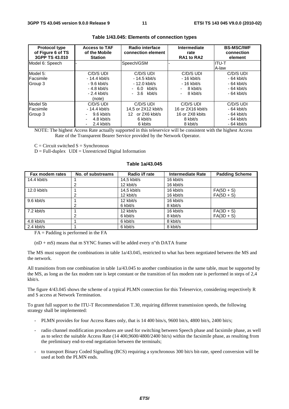| <b>Protocol type</b><br>of Figure 6 of TS<br>3GPP TS 43.010 | <b>Access to TAF</b><br>of the Mobile<br><b>Station</b>                                 | Radio interface<br>connection element                                           | Intermediate<br>rate<br>RA1 to RA2                                        | <b>BS-MSC/IWF</b><br>connection<br>element                                |
|-------------------------------------------------------------|-----------------------------------------------------------------------------------------|---------------------------------------------------------------------------------|---------------------------------------------------------------------------|---------------------------------------------------------------------------|
| Model 6: Speech                                             |                                                                                         | Speech/GSM                                                                      |                                                                           | IITU-T<br>A-law                                                           |
| Model 5:<br>Facsimile<br>Group 3                            | C/D/S UDI<br>$-14.4$ kbit/s<br>- 9.6 kbit/s<br>$-4.8$ kbit/s<br>$-2.4$ kbit/s<br>(note) | C/D/S UDI<br>- 14.5 kbit/s<br>- 12.0 kbit/s<br>$-6.0$ kbit/s<br>$-3.6$ kbit/s   | C/D/S UDI<br>$-16$ kbit/s<br>$-16$ kbit/s<br>8 kbit/s<br>8 kbit/s         | C/D/S UDI<br>$-64$ kbit/s<br>$-64$ kbit/s<br>$-64$ kbit/s<br>$-64$ kbit/s |
| Model 5b<br>Facsimile<br>Group 3                            | C/D/S UDI<br>$-14.4$ kbit/s<br>$9.6$ kbit/s<br>4.8 kbit/s<br>2.4 kbit/s<br>٠            | C/D/S UDI<br>14,5 or 2X12 kbit/s<br>or 2X6 kbit/s<br>12.<br>6 kbit/s<br>6 kbits | C/D/S UDI<br>16 or 2X16 kbit/s<br>16 or 2X8 kbits<br>8 kbit/s<br>8 kbit/s | C/D/S UDI<br>$-64$ kbit/s<br>$-64$ kbit/s<br>$-64$ kbit/s<br>$-64$ kbit/s |

#### **Table 1/43.045: Elements of connection types**

NOTE: The highest Access Rate actually supported in this teleservice will be consistent with the highest Access Rate of the Transparent Bearer Service provided by the Network Operator.

 $C =$  Circuit switched  $S =$  Synchronous

 $D = Full-duplex$   $UDI = Unrestricted Digital Information$ 

#### **Table 1a/43.045**

| Fax modem rates | No. of substreams | Radio i/f rate | <b>Intermediate Rate</b> | <b>Padding Scheme</b> |
|-----------------|-------------------|----------------|--------------------------|-----------------------|
| 14.4 kbit/s     |                   | $14.5$ kbit/s  | 16 kbit/s                |                       |
|                 |                   | 12 kbit/s      | 16 kbit/s                |                       |
| 12.0 kbit/s     |                   | $14.5$ kbit/s  | 16 kbit/s                | $FA(5D + S)$          |
|                 |                   | 12 kbit/s      | 16 kbit/s                | $FA(5D + S)$          |
| 9.6 kbit/s      |                   | 12 kbit/s      | 16 kbit/s                |                       |
|                 | 2                 | 6 kbit/s       | 8 kbit/s                 |                       |
| $7.2$ kbit/s    |                   | 12 kbit/s      | 16 kbit/s                | $FA(3D + S)$          |
|                 |                   | 6 kbit/s       | 8 kbit/s                 | $FA(3D + S)$          |
| 4.8 kbit/s      |                   | 6 kbit/s       | 8 kbit/s                 |                       |
| $2.4$ kbit/s    |                   | 6 kbit/s       | 8 kbit/s                 |                       |

 $FA =$  Padding is performed in the  $FA$ 

 $(nD + mS)$  means that m SYNC frames will be added every n"th DATA frame

The MS must support the combinations in table 1a/43.045, restricted to what has been negotiated between the MS and the network.

All transitions from one combination in table 1a/43.045 to another combination in the same table, must be supported by the MS, as long as the fax modem rate is kept constant or the transition of fax modem rate is performed in steps of 2,4 kbit/s.

The figure 4/43.045 shows the scheme of a typical PLMN connection for this Teleservice, considering respectively R and S access at Network Termination.

To grant full support to the ITU-T Recommendation T.30, requiring different transmission speeds, the following strategy shall be implemented:

- PLMN provides for four Access Rates only, that is 14 400 bits/s, 9600 bit/s, 4800 bit/s, 2400 bit/s;
- radio channel modification procedures are used for switching between Speech phase and facsimile phase, as well as to select the suitable Access Rate (14 400,9600/4800/2400 bit/s) within the facsimile phase, as resulting from the preliminary end-to-end negotiation between the terminals;
- to transport Binary Coded Signalling (BCS) requiring a synchronous 300 bit/s bit-rate, speed conversion will be used at both the PLMN ends.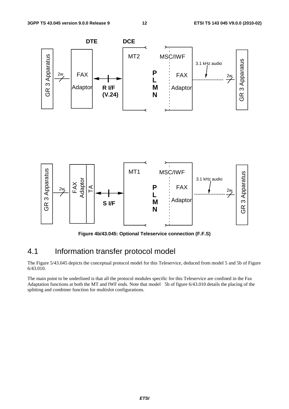

**Figure 4b/43.045: Optional Teleservice connection (F.F.S)** 

# 4.1 Information transfer protocol model

The Figure 5/43.045 depicts the conceptual protocol model for this Teleservice, deduced from model 5 and 5b of Figure 6/43.010.

The main point to be underlined is that all the protocol modules specific for this Teleservice are confined in the Fax Adaptation functions at both the MT and IWF ends. Note that model 5b of figure 6/43.010 details the placing of the splitting and combiner function for multislot configurations.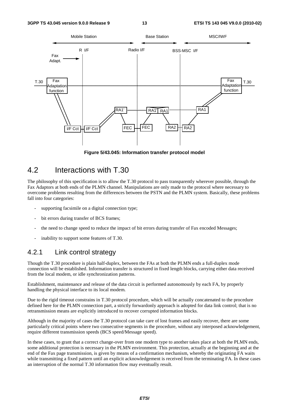

**Figure 5/43.045: Information transfer protocol model** 

# 4.2 Interactions with T.30

The philosophy of this specification is to allow the T.30 protocol to pass transparently wherever possible, through the Fax Adaptors at both ends of the PLMN channel. Manipulations are only made to the protocol where necessary to overcome problems resulting from the differences between the PSTN and the PLMN system. Basically, these problems fall into four categories:

- supporting facsimile on a digital connection type;
- bit errors during transfer of BCS frames:
- the need to change speed to reduce the impact of bit errors during transfer of Fax encoded Messages;
- inability to support some features of T.30.

#### 4.2.1 Link control strategy

Though the T.30 procedure is plain half-duplex, between the FAs at both the PLMN ends a full-duplex mode connection will be established. Information transfer is structured in fixed length blocks, carrying either data received from the local modem, or idle synchronization patterns.

Establishment, maintenance and release of the data circuit is performed autonomously by each FA, by properly handling the physical interface to its local modem.

Due to the rigid timeout constrains in T.30 protocol procedure, which will be actually concatenated to the procedure defined here for the PLMN connection part, a strictly forwardonly approach is adopted for data link control; that is no retransmission means are explicitly introduced to recover corrupted information blocks.

Although in the majority of cases the T.30 protocol can take care of lost frames and easily recover, there are some particularly critical points where two consecutive segments in the procedure, without any interposed acknowledgement, require different transmission speeds (BCS speed/Message speed).

In these cases, to grant that a correct change-over from one modem type to another takes place at both the PLMN ends, some additional protection is necessary in the PLMN environment. This protection, actually at the beginning and at the end of the Fax page transmission, is given by means of a confirmation mechanism, whereby the originating FA waits while transmitting a fixed pattern until an explicit acknowledgement is received from the terminating FA. In these cases an interruption of the normal T.30 information flow may eventually result.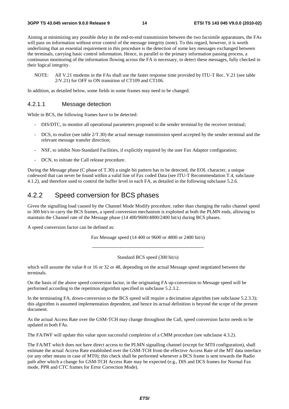Aiming at minimizing any possible delay in the end-to-end transmission between the two facsimile apparatuses, the FAs will pass on information without error control of the message integrity (note). To this regard, however, it is worth underlining that an essential requirement in this procedure is the detection of some key messages exchanged between the terminals, carrying basic control information. Hence, in parallel to the primary information passing process, a continuous monitoring of the information flowing across the FA is necessary, to detect these messages, fully checked in their logical integrity.

NOTE: All V.21 modems in the FAs shall use the faster response time provided by ITU-T Rec. V.21 (see table 2/V.21) for OFF to ON transition of CT109 and CT106.

In addition, as detailed below, some fields in some frames may need to be changed.

#### 4.2.1.1 Message detection

While in BCS, the following frames have to be detected:

- DIS/DTC, to monitor all operational parameters proposed to the sender terminal by the receiver terminal;
- DCS, to realize (see table  $2/T.30$ ) the actual message transmission speed accepted by the sender terminal and the relevant message transfer direction;
- NSF, to inhibit Non-Standard Facilities, if explicitly required by the user Fax Adaptor configuration;
- DCN, to initiate the Call release procedure.

During the Message phase (C phase of T.30) a single bit pattern has to be detected, the EOL character, a unique codeword that can never be found within a valid line of Fax coded Data (see ITU-T Recommendation T.4, subclause 4.1.2), and therefore used to control the buffer level in each FA, as detailed in the following subclause 5.2.6.

#### 4.2.2 Speed conversion for BCS phases

Given the signalling load caused by the Channel Mode Modify procedure, rather than changing the radio channel speed to 300 bit/s to carry the BCS frames, a speed conversion mechanism is exploited at both the PLMN ends, allowing to maintain the Channel rate of the Message phase (14 400/9600/4800/2400 bit/s) during BCS phases.

A speed conversion factor can be defined as:

Fax Message speed (14 400 or 9600 or 4800 or 2400 bit/s)

---------------------------------------------------------------------

Standard BCS speed (300 bit/s)

which will assume the value 8 or 16 or 32 or 48, depending on the actual Message speed negotiated between the terminals.

On the basis of the above speed conversion factor, in the originating FA up-conversion to Message speed will be performed according to the repetition algorithm specified in subclause 5.2.3.2.

In the terminating FA, down-conversion to the BCS speed will require a decimation algorithm (see subclause 5.2.3.3); this algorithm is assumed implementation dependent, and hence its actual definition is beyond the scope of the present document.

As the actual Access Rate over the GSM-TCH may change throughout the Call, speed conversion factor needs to be updated in both FAs.

The FA/IWF will update this value upon successful completion of a CMM procedure (see subclause 4.3.2).

The FA/MT which does not have direct access to the PLMN signalling channel (except for MT0 configuration), shall estimate the actual Access Rate established over the GSM-TCH from the effective Access Rate of the MT data interface (or any other means in case of MT0); this check shall be performed whenever a BCS frame is sent towards the Radio path after which a change for GSM-TCH Access Rate may be expected (e.g., DIS and DCS frames for Normal Fax mode, PPR and CTC frames for Error Correction Mode).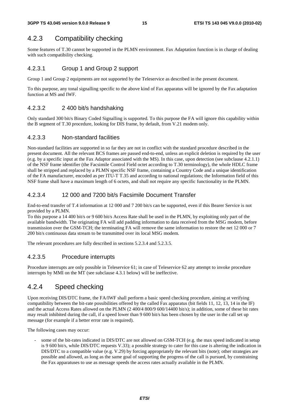# 4.2.3 Compatibility checking

Some features of T.30 cannot be supported in the PLMN environment. Fax Adaptation function is in charge of dealing with such compatibility checking.

#### 4.2.3.1 Group 1 and Group 2 support

Group 1 and Group 2 equipments are not supported by the Teleservice as described in the present document.

To this purpose, any tonal signalling specific to the above kind of Fax apparatus will be ignored by the Fax adaptation function at MS and IWF.

#### 4.2.3.2 2 400 bit/s handshaking

Only standard 300 bit/s Binary Coded Signalling is supported. To this purpose the FA will ignore this capability within the B segment of T.30 procedure, looking for DIS frame, by default, from V.21 modem only.

#### 4.2.3.3 Non-standard facilities

Non-standard facilities are supported in so far they are not in conflict with the standard procedure described in the present document. All the relevant BCS frames are passed end-to-end, unless an explicit deletion is required by the user (e.g. by a specific input at the Fax Adaptor associated with the MS). In this case, upon detection (see subclause 4.2.1.1) of the NSF frame identifier (the Facsimile Control Field octet according to T.30 terminology), the whole HDLC frame shall be stripped and replaced by a PLMN specific NSF frame, containing a Country Code and a unique identification of the FA manufacturer, encoded as per ITU-T T.35 and according to national regulations; the Information field of this NSF frame shall have a maximum length of 6 octets, and shall not require any specific functionality in the PLMN.

#### 4.2.3.4 12 000 and 7200 bit/s Facsimile Document Transfer

End-to-end transfer of T.4 information at 12 000 and 7 200 bit/s can be supported, even if this Bearer Service is not provided by a PLMN.

To this purpose a 14 400 bit/s or 9 600 bit/s Access Rate shall be used in the PLMN, by exploiting only part of the available bandwidth. The originating FA will add padding information to data received from the MSG modem, before transmission over the GSM-TCH; the terminating FA will remove the same information to restore the net 12 000 or 7 200 bit/s continuous data stream to be transmitted over its local MSG modem.

The relevant procedures are fully described in sections 5.2.3.4 and 5.2.3.5.

#### 4.2.3.5 Procedure interrupts

Procedure interrupts are only possible in Teleservice 61; in case of Teleservice 62 any attempt to invoke procedure interrupts by MMI on the MT (see subclause 4.3.1 below) will be ineffective.

### 4.2.4 Speed checking

Upon receiving DIS/DTC frame, the FA/IWF shall perform a basic speed checking procedure, aiming at verifying compatibility between the bit-rate possibilities offered by the called Fax apparatus (bit fields 11, 12, 13, 14 in the IF) and the actual Access Rates allowed on the PLMN (2 400/4 800/9 600/14400 bit/s); in addition, some of these bit rates may result inhibited during the call, if a speed lower than 9 600 bit/s has been chosen by the user in the call set up message (for example if a better error rate is required).

The following cases may occur:

some of the bit-rates indicated in DIS/DTC are not allowed on GSM-TCH (e.g. the max speed indicated in setup is 9 600 bit/s, while DIS/DTC requests V.33); a possible strategy to cater for this case is altering the indication in DIS/DTC to a compatible value (e.g. V.29) by forcing appropriately the relevant bits (note); other strategies are possible and allowed, as long as the same goal of supporting the progress of the call is pursued, by constraining the Fax apparatuses to use as message speeds the access rates actually available in the PLMN.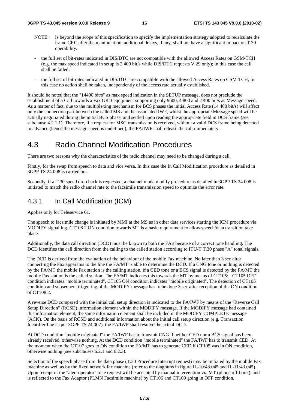- NOTE: Is beyond the scope of this specification to specify the implementation strategy adopted to recalculate the frame CRC after the manipulation; additional delays, if any, shall not have a significant impact on T.30 operability.
- the full set of bit-rates indicated in DIS/DTC are not compatible with the allowed Access Rates on GSM-TCH (e.g. the max speed indicated in setup is 2 400 bit/s while DIS/DTC requests V.29 only); in this case the call shall be failed;
- the full set of bit-rates indicated in DIS/DTC are compatible with the allowed Access Rates on GSM-TCH; in this case no action shall be taken, independently of the access rate actually established.

It should be noted that the "14400 bit/s" as max speed indication in the SETUP message, does not preclude the establishment of a Call towards a Fax GR 3 equipment supporting only 9600, 4 800 and 2 400 bit/s as Message speed. As a matter of fact, due to the multiplexing mechanism for BCS phases the initial Access Rate (14 400 bit/s) will affect only the connection part between the called MS and the associated IWF, whilst the appropriate Message speed will be actually negotiated during the initial BCS phase, and settled upon reading the appropriate field in DCS frame (see subclause 4.2.1.1). Therefore, if a request for MSG transmission is received, without a valid DCS frame being detected in advance (hence the message speed is undefined), the FA/IWF shall release the call immediately.

# 4.3 Radio Channel Modification Procedures

There are two reasons why the characteristics of the radio channel may need to be changed during a call.

Firstly, for the swap from speech to data and vice versa. In this case the In Call Modification procedure as detailed in 3GPP TS 24.008 is carried out.

Secondly, if a T.30 speed drop back is requested, a channel mode modify procedure as detailed in 3GPP TS 24.008 is initiated to match the radio channel rate to the facsimile transmission speed to optimize the error rate.

#### 4.3.1 In Call Modification (ICM)

Applies only for Teleservice 61.

The speech to facsimile change is initiated by MMI at the MS as in other data services starting the ICM procedure via MODIFY signalling. CT108.2 ON condition towards MT is a basic requirement to allow speech/data transition take place.

Additionally, the data call direction (DCD) must be known to both the FA's because of a correct tone handling. The DCD identifies the call direction from the calling to the called station according to ITU-T T.30 phase "A" tonal signals.

The DCD is derived from the evaluation of the behaviour of the mobile Fax machine. No later than 3 sec after connecting the Fax apparatus to the line the FA/MT is able to determine the DCD. If a CNG tone or nothing is detected by the FA/MT the mobile Fax station is the calling station, if a CED tone or a BCS signal is detected by the FA/MT the mobile Fax station is the called station. The FA/MT indicates this towards the MT by means of CT105: CT105 OFF condition indicates "mobile terminated", CT105 ON condition indicates "mobile originated". The detection of CT105 condition and subsequent triggering of the MODIFY message has to be done 3 sec after reception of the ON condition of CT108.2.

A reverse DCD compared with the initial call setup direction is indicated to the FA/IWF by means of the "Reverse Call Setup Direction" (RCSD) information element within the MODIFY message. If the MODIFY message had contained this information element, the same information element shall be included in the MODIFY COMPLETE message (ACK). On the basis of RCSD and additional information about the initial call setup direction (e.g. Transaction Identifier flag as per 3GPP TS 24.007), the FA/IWF shall resolve the actual DCD.

At DCD condition "mobile originated" the FA/IWF has to transmit CNG if neither CED nor a BCS signal has been already received, otherwise nothing. At the DCD condition "mobile terminated" the FA/IWF has to transmit CED. At the moment when the CT107 goes to ON condition the FA/MT has to generate CED if CT105 was in ON condition, otherwise nothing (see subclauses 6.2.1 and 6.2.3).

Selection of the speech phase from the data phase (T.30 Procedure Interrupt request) may be initiated by the mobile Fax machine as well as by the fixed network fax machine (refer to the diagrams in figure II.-10/43.045 and II.-11/43.045). Upon receipt of the "alert operator" tone request will be accepted by manual intervention via MT (phone off-hook), and is reflected to the Fax Adaptor (PLMN Facsimile machine) by CT106 and CT109 going in OFF condition.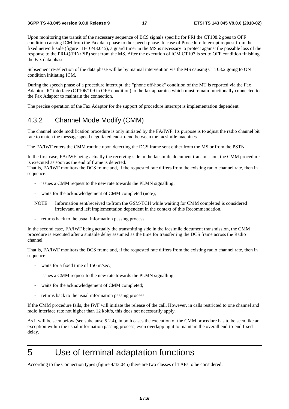Upon monitoring the transit of the necessary sequence of BCS signals specific for PRI the CT108.2 goes to OFF condition causing ICM from the Fax data phase to the speech phase. In case of Procedure Interrupt request from the fixed network side (figure II-10/43.045), a guard timer in the MS is necessary to protect against the possible loss of the response to the PRI-Q(PIN/PIP) sent from the MS. After the execution of ICM CT107 is set to OFF condition finishing the Fax data phase.

Subsequent re-selection of the data phase will be by manual intervention via the MS causing CT108.2 going to ON condition initiating ICM.

During the speech phase of a procedure interrupt, the "phone off-hook" condition of the MT is reported via the Fax Adaptor "R" interface (CT106/109 in OFF condition) to the fax apparatus which must remain functionally connected to the Fax Adaptor to maintain the connection.

The precise operation of the Fax Adaptor for the support of procedure interrupt is implementation dependent.

#### 4.3.2 Channel Mode Modify (CMM)

The channel mode modification procedure is only initiated by the FA/IWF. Its purpose is to adjust the radio channel bit rate to match the message speed negotiated end-to-end between the facsimile machines.

The FA/IWF enters the CMM routine upon detecting the DCS frame sent either from the MS or from the PSTN.

In the first case, FA/IWF being actually the receiving side in the facsimile document transmission, the CMM procedure is executed as soon as the end of frame is detected.

That is, FA/IWF monitors the DCS frame and, if the requested rate differs from the existing radio channel rate, then in sequence:

- issues a CMM request to the new rate towards the PLMN signalling;
- waits for the acknowledgement of CMM completed (note);
- NOTE: Information sent/received to/from the GSM-TCH while waiting for CMM completed is considered irrelevant, and left implementation dependent in the context of this Recommendation.
- returns back to the usual information passing process.

In the second case, FA/IWF being actually the transmitting side in the facsimile document transmission, the CMM procedure is executed after a suitable delay assumed as the time for transferring the DCS frame across the Radio channel.

That is, FA/IWF monitors the DCS frame and, if the requested rate differs from the existing radio channel rate, then in sequence:

- waits for a fixed time of 150 m/sec.;
- issues a CMM request to the new rate towards the PLMN signalling;
- waits for the acknowledgement of CMM completed;
- returns back to the usual information passing process.

If the CMM procedure fails, the IWF will initiate the release of the call. However, in calls restricted to one channel and radio interface rate not higher than 12 kbit/s, this does not necessarily apply.

As it will be seen below (see subclause 5.2.4), in both cases the execution of the CMM procedure has to be seen like an exception within the usual information passing process, even overlapping it to maintain the overall end-to-end fixed delay.

# 5 Use of terminal adaptation functions

According to the Connection types (figure 4/43.045) there are two classes of TAFs to be considered.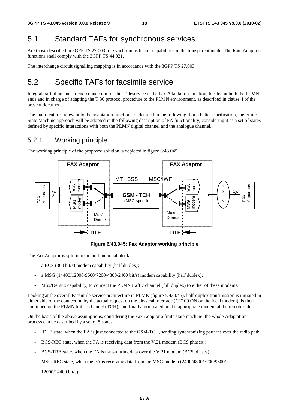# 5.1 Standard TAFs for synchronous services

Are those described in 3GPP TS 27.003 for synchronous bearer capabilities in the transparent mode. The Rate Adaption functions shall comply with the 3GPP TS 44.021.

The interchange circuit signalling mapping is in accordance with the 3GPP TS 27.003.

# 5.2 Specific TAFs for facsimile service

Integral part of an end-to-end connection for this Teleservice is the Fax Adaptation function, located at both the PLMN ends and in charge of adapting the T.30 protocol procedure to the PLMN environment, as described in clause 4 of the present document.

The main features relevant to the adaptation function are detailed in the following. For a better clarification, the Finite State Machine approach will be adopted in the following description of FA functionality, considering it as a set of states defined by specific interactions with both the PLMN digital channel and the analogue channel.

#### 5.2.1 Working principle

The working principle of the proposed solution is depicted in figure 6/43.045.



**Figure 6/43.045: Fax Adaptor working principle** 

The Fax Adaptor is split in its main functional blocks:

- a BCS (300 bit/s) modem capability (half duplex);
- a MSG (14400/12000/9600/7200/4800/2400 bit/s) modem capability (half duplex);
- Mux/Demux capability, to connect the PLMN traffic channel (full duplex) to either of these modems.

Looking at the overall Facsimile service architecture in PLMN (figure 5/43.045), half-duplex transmission is initiated in either side of the connection by the actual request on the physical interface (CT109 ON on the local modem), is then continued on the PLMN traffic channel (TCH), and finally terminated on the appropriate modem at the remote side.

On the basis of the above assumptions, considering the Fax Adaptor a finite state machine, the whole Adaptation process can be described by a set of 5 states:

- IDLE state, when the FA is just connected to the GSM-TCH, sending synchronizing patterns over the radio path;
- BCS-REC state, when the FA is receiving data from the V.21 modem (BCS phases);
- BCS-TRA state, when the FA is transmitting data over the V.21 modem (BCS phases);
- MSG-REC state, when the FA is receiving data from the MSG modem (2400/4800/7200/9600/

12000/14400 bit/s);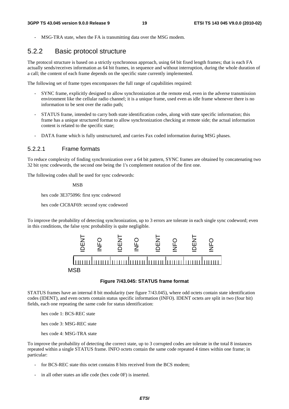MSG-TRA state, when the FA is transmitting data over the MSG modem.

#### 5.2.2 Basic protocol structure

The protocol structure is based on a strictly synchronous approach, using 64 bit fixed length frames; that is each FA actually sends/receives information as 64 bit frames, in sequence and without interruption, during the whole duration of a call; the content of each frame depends on the specific state currently implemented.

The following set of frame types encompasses the full range of capabilities required:

- SYNC frame, explicitly designed to allow synchronization at the remote end, even in the adverse transmission environment like the cellular radio channel; it is a unique frame, used even as idle frame whenever there is no information to be sent over the radio path;
- STATUS frame, intended to carry both state identification codes, along with state specific information; this frame has a unique structured format to allow synchronization checking at remote side; the actual information content is related to the specific state;
- DATA frame which is fully unstructured, and carries Fax coded information during MSG phases.

#### 5.2.2.1 Frame formats

To reduce complexity of finding synchronization over a 64 bit pattern, SYNC frames are obtained by concatenating two 32 bit sync codewords, the second one being the 1's complement notation of the first one.

The following codes shall be used for sync codewords:

MSB

hex code 3E375096: first sync codeword

hex code ClC8AF69: second sync codeword

To improve the probability of detecting synchronization, up to 3 errors are tolerate in each single sync codeword; even in this conditions, the false sync probability is quite negligible.



#### **Figure 7/43.045: STATUS frame format**

STATUS frames have an internal 8 bit modularity (see figure 7/43.045), where odd octets contain state identification codes (IDENT), and even octets contain status specific information (INFO). IDENT octets are split in two (four bit) fields, each one repeating the same code for status identification:

hex code 1: BCS-REC state

hex code 3: MSG-REC state

hex code 4: MSG-TRA state

To improve the probability of detecting the correct state, up to 3 corrupted codes are tolerate in the total 8 instances repeated within a single STATUS frame. INFO octets contain the same code repeated 4 times within one frame; in particular:

- for BCS-REC state this octet contains 8 bits received from the BCS modem;
- in all other states an idle code (hex code 0F) is inserted.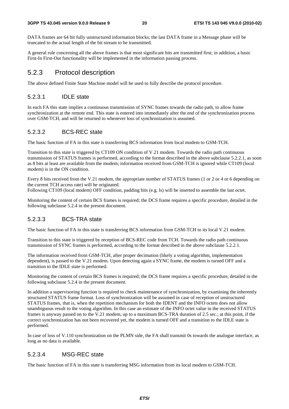DATA frames are 64 bit fully unstructured information blocks; the last DATA frame in a Message phase will be truncated to the actual length of the bit stream to be transmitted.

A general rule concerning all the above frames is that most significant bits are transmitted first; in addition, a basic First-In First-Out functionality will be implemented in the information passing process.

#### 5.2.3 Protocol description

The above defined Finite State Machine model will be used to fully describe the protocol procedure.

#### 5.2.3.1 IDLE state

In each FA this state implies a continuous transmission of SYNC frames towards the radio path, to allow frame synchronization at the remote end. This state is entered into immediately after the end of the synchronization process over GSM-TCH, and will be returned to whenever loss of synchronization is assumed.

#### 5.2.3.2 BCS-REC state

The basic function of FA in this state is transferring BCS information from local modem to GSM-TCH.

Transition to this state is triggered by CT109 ON condition of V.21 modem. Towards the radio path continuous transmission of STATUS frames is performed, according to the format described in the above subclause 5.2.2.1, as soon as 8 bits at least are available from the modem; information received from GSM-TCH is ignored while CT109 (local modem) is in the ON condition.

Every 8 bits received from the V.21 modem, the appropriate number of STATUS frames (1 or 2 or 4 or 6 depending on the current TCH access rate) will be originated.

Following CT109 (local modem) OFF condition, padding bits (e.g. ls) will be inserted to assemble the last octet.

Monitoring the content of certain BCS frames is required; the DCS frame requires a specific procedure, detailed in the following subclause 5.2.4 in the present document.

#### 5.2.3.3 BCS-TRA state

The basic function of FA in this state is transferring BCS information from GSM-TCH to its local V.21 modem.

Transition to this state is triggered by reception of BCS-REC code from TCH. Towards the radio path continuous transmission of SYNC frames is performed, according to the format described in the above subclause 5.2.2.1.

The information received from GSM-TCH, after proper decimation (likely a voting algorithm, implementation dependent), is passed to the V.21 modem. Upon detecting again a SYNC frame, the modem is turned OFF and a transition to the IDLE state is performed.

Monitoring the content of certain BCS frames is required; the DCS frame requires a specific procedure, detailed in the following subclause 5.2.4 in the present document.

In addition a supervisoring function is required to check maintenance of synchronization, by examining the inherently structured STATUS frame format. Loss of synchronization will be assumed in case of reception of unstructured STATUS frames, that is, when the repetition mechanism for both the IDENT and the INFO octets does not allow unambiguous result to the voting algorithm. In this case an estimate of the INFO octet value in the received STATUS frames is anyway passed on to the V.21 modem, up to a maximum BCS-TRA duration of 2.5 sec.; at this point, if the correct synchronization has not been recovered yet, the modem is turned OFF and a transition to the IDLE state is performed.

In case of loss of V.110 synchronization on the PLMN side, the FA shall transmit 0s towards the analogue interface, as long as no data is available.

#### 5.2.3.4 MSG-REC state

The basic function of FA in this state is transferring MSG information from its local modem to GSM-TCH.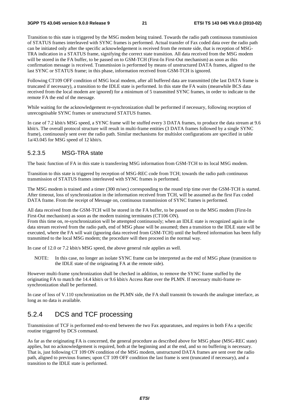Transition to this state is triggered by the MSG modem being trained. Towards the radio path continuous transmission of STATUS frames interleaved with SYNC frames is performed. Actual transfer of Fax coded data over the radio path can be initiated only after the specific acknowledgement is received from the remote side, that is reception of MSG-TRA indication in a STATUS frame, signifying the correct state transition. All data received from the MSG modem will be stored in the FA buffer, to be passed on to GSM-TCH (First-In First-Out mechanism) as soon as this confirmation message is received. Transmission is performed by means of unstructured DATA frames, aligned to the last SYNC or STATUS frame; in this phase, information received from GSM-TCH is ignored.

Following CT109 OFF condition of MSG local modem, after all buffered data are transmitted (the last DATA frame is truncated if necessary), a transition to the IDLE state is performed. In this state the FA waits (meanwhile BCS data received from the local modem are ignored) for a minimum of 5 transmitted SYNC frames, in order to indicate to the remote FA the end of the message.

While waiting for the acknowledgement re-synchronization shall be performed if necessary, following reception of unrecognisable SYNC frames or unstructured STATUS frames.

In case of 7.2 kbit/s MSG speed, a SYNC frame will be stuffed every 3 DATA frames, to produce the data stream at 9.6 kbit/s. The overall protocol structure will result in multi-frame entities (3 DATA frames followed by a single SYNC frame), continuously sent over the radio path. Similar mechanisms for multislot configurations are specified in table 1a/43.045 for MSG speed of 12 kbit/s.

#### 5.2.3.5 MSG-TRA state

The basic function of FA in this state is transferring MSG information from GSM-TCH to its local MSG modem.

Transition to this state is triggered by reception of MSG-REC code from TCH; towards the radio path continuous transmission of STATUS frames interleaved with SYNC frames is performed.

The MSG modem is trained and a timer (300 m/sec) corresponding to the round trip time over the GSM-TCH is started. After timeout, loss of synchronization in the information received from TCH, will be assumed as the first Fax coded DATA frame. From the receipt of Message on, continuous transmission of SYNC frames is performed.

All data received from the GSM-TCH will be stored in the FA buffer, to be passed on to the MSG modem (First-In First-Out mechanism) as soon as the modem training terminates (CT106 ON).

From this time on, re-synchronization will be attempted continuously; when an IDLE state is recognized again in the data stream received from the radio path, end of MSG phase will be assumed; then a transition to the IDLE state will be executed, where the FA will wait (ignoring data received from GSM-TCH) until the buffered information has been fully transmitted to the local MSG modem; the procedure will then proceed in the normal way.

In case of 12.0 or 7.2 kbit/s MSG speed, the above general rule applies as well.

NOTE: In this case, no longer an isolate SYNC frame can be interpreted as the end of MSG phase (transition to the IDLE state of the originating FA at the remote side).

However multi-frame synchronization shall be checked in addition, to remove the SYNC frame stuffed by the originating FA to match the 14.4 kbit/s or 9.6 kbit/s Access Rate over the PLMN. If necessary multi-frame resynchronization shall be performed.

In case of loss of V.110 synchronization on the PLMN side, the FA shall transmit 0s towards the analogue interface, as long as no data is available.

### 5.2.4 DCS and TCF processing

Transmission of TCF is performed end-to-end between the two Fax apparatuses, and requires in both FAs a specific routine triggered by DCS command.

As far as the originating FA is concerned, the general procedure as described above for MSG phase (MSG-REC state) applies, but no acknowledgement is required, both at the beginning and at the end, and so no buffering is necessary. That is, just following CT 109 ON condition of the MSG modem, unstructured DATA frames are sent over the radio path, aligned to previous frames; upon CT 109 OFF condition the last frame is sent (truncated if necessary), and a transition to the IDLE state is performed.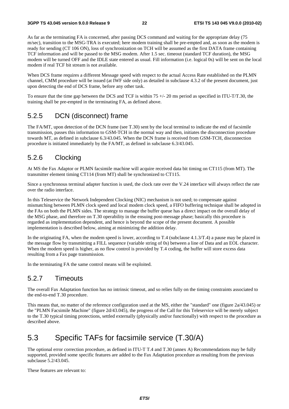As far as the terminating FA is concerned, after passing DCS command and waiting for the appropriate delay (75 m/sec), transition to the MSG-TRA is executed; here modem training shall be pre-empted and, as soon as the modem is ready for sending (CT 106 ON), loss of synchronization on TCH will be assumed as the first DATA frame containing TCF information and will be passed to the MSG modem. After 1.5 sec. timeout (standard TCF duration), the MSG modem will be turned OFF and the IDLE state entered as usual. Fill information (i.e. logical 0s) will be sent on the local modem if real TCF bit stream is not available.

When DCS frame requires a different Message speed with respect to the actual Access Rate established on the PLMN channel, CMM procedure will be issued (at IWF side only) as detailed in subclause 4.3.2 of the present document, just upon detecting the end of DCS frame, before any other task.

To ensure that the time gap between the DCS and TCF is within  $75 +/20$  ms period as specified in ITU-T/T.30, the training shall be pre-empted in the terminating FA, as defined above.

#### 5.2.5 DCN (disconnect) frame

The FA/MT, upon detection of the DCN frame (see T.30) sent by the local terminal to indicate the end of facsimile transmission, passes this information to GSM-TCH in the normal way and then, initiates the disconnection procedure towards MT, as defined in subclause 6.3/43.045. When the DCN frame is received from GSM-TCH, disconnection procedure is initiated immediately by the FA/MT, as defined in subclause 6.3/43.045.

#### 5.2.6 Clocking

At MS the Fax Adaptor or PLMN facsimile machine will acquire received data bit timing on CT115 (from MT). The transmitter element timing CT114 (from MT) shall be synchronized to CT115.

Since a synchronous terminal adapter function is used, the clock rate over the V.24 interface will always reflect the rate over the radio interface.

In this Teleservice the Network Independent Clocking (NIC) mechanism is not used; to compensate against mismatching between PLMN clock speed and local modem clock speed, a FIFO buffering technique shall be adopted in the FAs on both the PLMN sides. The strategy to manage the buffer queue has a direct impact on the overall delay of the MSG phase, and therefore on T.30 operability in the ensuing post-message phase; basically this procedure is regarded as implementation dependent, and hence is beyond the scope of the present document. A possible implementation is described below, aiming at minimizing the addition delay.

In the originating FA, when the modem speed is lower, according to T.4 (subclause 4.1.3/T.4) a pause may be placed in the message flow by transmitting a FILL sequence (variable string of 0s) between a line of Data and an EOL character. When the modem speed is higher, as no flow control is provided by T.4 coding, the buffer will store excess data resulting from a Fax page transmission.

In the terminating FA the same control means will be exploited.

#### 5.2.7 Timeouts

The overall Fax Adaptation function has no intrinsic timeout, and so relies fully on the timing constraints associated to the end-to-end T.30 procedure.

This means that, no matter of the reference configuration used at the MS, either the "standard" one (figure 2a/43.045) or the "PLMN Facsimile Machine" (figure 2d/43.045), the progress of the Call for this Teleservice will be merely subject to the T.30 typical timing protections, settled externally (physically and/or functionally) with respect to the procedure as described above.

# 5.3 Specific TAFs for facsimile service (T.30/A)

The optional error correction procedure, as defined in ITU-T T.4 and T.30 (annex A) Recommendations may be fully supported, provided some specific features are added to the Fax Adaptation procedure as resulting from the previous subclause 5.2/43.045.

These features are relevant to: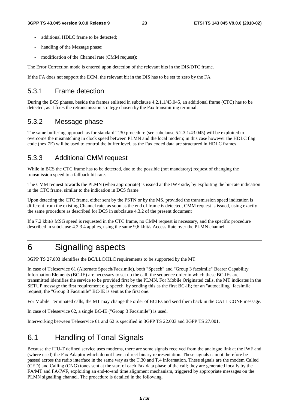- additional HDLC frame to be detected:
- handling of the Message phase;
- modification of the Channel rate (CMM request);

The Error Correction mode is entered upon detection of the relevant bits in the DIS/DTC frame.

If the FA does not support the ECM, the relevant bit in the DIS has to be set to zero by the FA.

#### 5.3.1 Frame detection

During the BCS phases, beside the frames enlisted in subclause 4.2.1.1/43.045, an additional frame (CTC) has to be detected, as it fixes the retransmission strategy chosen by the Fax transmitting terminal.

#### 5.3.2 Message phase

The same buffering approach as for standard T.30 procedure (see subclause 5.2.3.1/43.045) will be exploited to overcome the mismatching in clock speed between PLMN and the local modem; in this case however the HDLC flag code (hex 7E) will be used to control the buffer level, as the Fax coded data are structured in HDLC frames.

### 5.3.3 Additional CMM request

While in BCS the CTC frame has to be detected, due to the possible (not mandatory) request of changing the transmission speed to a fallback bit-rate.

The CMM request towards the PLMN (when appropriate) is issued at the IWF side, by exploiting the bit-rate indication in the CTC frame, similar to the indication in DCS frame.

Upon detecting the CTC frame, either sent by the PSTN or by the MS, provided the transmission speed indication is different from the existing Channel rate, as soon as the end of frame is detected, CMM request is issued, using exactly the same procedure as described for DCS in subclause 4.3.2 of the present document

If a 7,2 kbit/s MSG speed is requested in the CTC frame, no CMM request is necessary, and the specific procedure described in subclause 4.2.3.4 applies, using the same 9,6 kbit/s Access Rate over the PLMN channel.

# 6 Signalling aspects

3GPP TS 27.003 identifies the BC/LLC/HLC requirements to be supported by the MT.

In case of Teleservice 61 (Alternate Speech/Facsimile), both "Speech" and "Group 3 facsimile" Bearer Capability Information Elements (BC-IE) are necessary to set up the call; the sequence order in which these BC-IEs are transmitted identifies the service to be provided first by the PLMN. For Mobile Originated calls, the MT indicates in the SETUP message the first requirement e.g. speech, by sending this as the first BC-IE; for an "autocalling" facsimile request, the "Group 3 Facsimile" BC-IE is sent as the first one.

For Mobile Terminated calls, the MT may change the order of BCIEs and send them back in the CALL CONF message.

In case of Teleservice 62, a single BC-IE ("Group 3 Facsimile") is used.

Interworking between Teleservice 61 and 62 is specified in 3GPP TS 22.003 and 3GPP TS 27.001.

# 6.1 Handling of Tonal Signals

Because the ITU-T defined service uses modems, there are some signals received from the analogue link at the IWF and (where used) the Fax Adaptor which do not have a direct binary representation. These signals cannot therefore be passed across the radio interface in the same way as the T.30 and T.4 information. These signals are the modem Called (CED) and Calling (CNG) tones sent at the start of each Fax data phase of the call; they are generated locally by the FA/MT and FA/IWF, exploiting an end-to-end time alignment mechanism, triggered by appropriate messages on the PLMN signalling channel. The procedure is detailed in the following.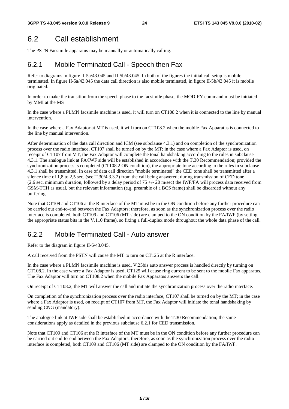# 6.2 Call establishment

The PSTN Facsimile apparatus may be manually or automatically calling.

### 6.2.1 Mobile Terminated Call - Speech then Fax

Refer to diagrams in figure II-5a/43.045 and II-5b/43.045. In both of the figures the initial call setup is mobile terminated. In figure II-5a/43.045 the data call direction is also mobile terminated, in figure II-5b/43.045 it is mobile originated.

In order to make the transition from the speech phase to the facsimile phase, the MODIFY command must be initiated by MMI at the MS

In the case where a PLMN facsimile machine is used, it will turn on CT108.2 when it is connected to the line by manual intervention.

In the case where a Fax Adaptor at MT is used, it will turn on CT108.2 when the mobile Fax Apparatus is connected to the line by manual intervention.

After determination of the data call direction and ICM (see subclause 4.3.1) and on completion of the synchronization process over the radio interface, CT107 shall be turned on by the MT; in the case where a Fax Adaptor is used, on receipt of CT107 from MT, the Fax Adaptor will complete the tonal handshaking according to the rules in subclause 4.3.1. The analogue link at FA/IWF side will be established in accordance with the T.30 Recommendation; provided the synchronization process is completed (CT108.2 ON condition), the appropriate tone according to the rules in subclause 4.3.1 shall be transmitted. In case of data call direction "mobile terminated" the CED tone shall be transmitted after a silence time of 1,8 to 2,5 sec. (see T.30/4.3.3.2) from the call being answered; during transmission of CED tone (2,6 sec. minimum duration, followed by a delay period of  $75 +/- 20$  m/sec) the IWF/FA will process data received from GSM-TCH as usual, but the relevant information (e.g. preamble of a BCS frame) shall be discarded without any buffering.

Note that CT109 and CT106 at the R interface of the MT must be in the ON condition before any further procedure can be carried out end-to-end between the Fax Adaptors; therefore, as soon as the synchronization process over the radio interface is completed, both CT109 and CT106 (MT side) are clamped to the ON condition by the FA/IWF (by setting the appropriate status bits in the V.110 frame), so fixing a full-duplex mode throughout the whole data phase of the call.

### 6.2.2 Mobile Terminated Call - Auto answer

Refer to the diagram in figure II-6/43.045.

A call received from the PSTN will cause the MT to turn on CT125 at the R interface.

In the case where a PLMN facsimile machine is used, V.25bis auto answer process is handled directly by turning on CT108.2. In the case where a Fax Adaptor is used, CT125 will cause ring current to be sent to the mobile Fax apparatus. The Fax Adaptor will turn on CT108.2 when the mobile Fax Apparatus answers the call.

On receipt of CT108.2, the MT will answer the call and initiate the synchronization process over the radio interface.

On completion of the synchronization process over the radio interface, CT107 shall be turned on by the MT; in the case where a Fax Adaptor is used, on receipt of CT107 from MT, the Fax Adaptor will initiate the tonal handshaking by sending CNG (mandatory).

The analogue link at IWF side shall be established in accordance with the T.30 Recommendation; the same considerations apply as detailed in the previous subclause 6.2.1 for CED transmission.

Note that CT109 and CT106 at the R interface of the MT must be in the ON condition before any further procedure can be carried out end-to-end between the Fax Adaptors; therefore, as soon as the synchronization process over the radio interface is completed, both CT109 and CT106 (MT side) are clamped to the ON condition by the FA/IWF.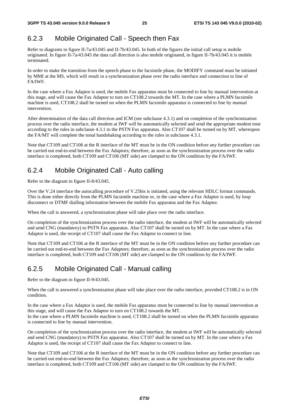# 6.2.3 Mobile Originated Call - Speech then Fax

Refer to diagrams in figure II-7a/43.045 and II-7b/43.045. In both of the figures the initial call setup is mobile originated. In figure II-7a/43.045 the data call direction is also mobile originated, in figure II-7b/43.045 it is mobile terminated.

In order to make the transition from the speech phase to the facsimile phase, the MODIFY command must be initiated by MMI at the MS, which will result in a synchronization phase over the radio interface and connection to line of FA/IWF.

In the case where a Fax Adaptor is used, the mobile Fax apparatus must be connected to line by manual intervention at this stage, and will cause the Fax Adaptor to turn on CT108.2 towards the MT. In the case where a PLMN facsimile machine is used, CT108.2 shall be turned on when the PLMN facsimile apparatus is connected to line by manual intervention.

After determination of the data call direction and ICM (see subclause 4.3.1) and on completion of the synchronization process over the radio interface, the modem at IWF will be automatically selected and send the appropriate modem tone according to the rules in subclause 4.3.1 to the PSTN Fax apparatus. Also CT107 shall be turned on by MT, whereupon the FA/MT will complete the tonal handshaking according to the rules in subclause 4.3.1.

Note that CT109 and CT106 at the R interface of the MT must be in the ON condition before any further procedure can be carried out end-to-end between the Fax Adaptors; therefore, as soon as the synchronization process over the radio interface is completed, both CT109 and CT106 (MT side) are clamped to the ON condition by the FA/IWF.

# 6.2.4 Mobile Originated Call - Auto calling

Refer to the diagram in figure II-8/43.045.

Over the V.24 interface the autocalling procedure of V.25bis is initiated, using the relevant HDLC format commands. This is done either directly from the PLMN facsimile machine or, in the case where a Fax Adaptor is used, by loop disconnect or DTMF dialling information between the mobile Fax apparatus and the Fax Adaptor.

When the call is answered, a synchronization phase will take place over the radio interface.

On completion of the synchronization process over the radio interface, the modem at IWF will be automatically selected and send CNG (mandatory) to PSTN Fax apparatus. Also CT107 shall be turned on by MT. In the case where a Fax Adaptor is used, the receipt of CT107 shall cause the Fax Adaptor to connect to line.

Note that CT109 and CT106 at the R interface of the MT must be in the ON condition before any further procedure can be carried out end-to-end between the Fax Adaptors; therefore, as soon as the synchronization process over the radio interface is completed, both CT109 and CT106 (MT side) are clamped to the ON condition by the FA/IWF.

# 6.2.5 Mobile Originated Call - Manual calling

Refer to the diagram in figure II-9/43.045.

When the call is answered a synchronization phase will take place over the radio interface, provided CT108.2 is in ON condition.

In the case where a Fax Adaptor is used, the mobile Fax apparatus must be connected to line by manual intervention at this stage, and will cause the Fax Adaptor to turn on CT108.2 towards the MT.

In the case where a PLMN facsimile machine is used, CT108.2 shall be turned on when the PLMN facsimile apparatus is connected to line by manual intervention.

On completion of the synchronization process over the radio interface, the modem at IWF will be automatically selected and send CNG (mandatory) to PSTN Fax apparatus. Also CT107 shall be turned on by MT. In the case where a Fax Adaptor is used, the receipt of CT107 shall cause the Fax Adaptor to connect to line.

Note that CT109 and CT106 at the R interface of the MT must be in the ON condition before any further procedure can be carried out end-to-end between the Fax Adaptors; therefore, as soon as the synchronization process over the radio interface is completed, both CT109 and CT106 (MT side) are clamped to the ON condition by the FA/IWF.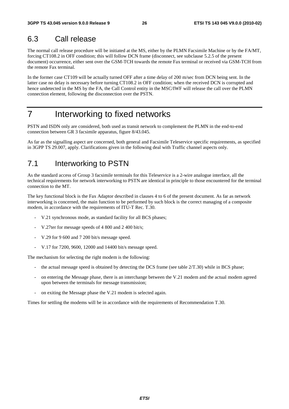# 6.3 Call release

The normal call release procedure will be initiated at the MS, either by the PLMN Facsimile Machine or by the FA/MT, forcing CT108.2 in OFF condition; this will follow DCN frame (disconnect, see subclause 5.2.5 of the present document) occurrence, either sent over the GSM-TCH towards the remote Fax terminal or received via GSM-TCH from the remote Fax terminal.

In the former case CT109 will be actually turned OFF after a time delay of 200 m/sec from DCN being sent. In the latter case no delay is necessary before turning CT108.2 in OFF condition; when the received DCN is corrupted and hence undetected in the MS by the FA, the Call Control entity in the MSC/IWF will release the call over the PLMN connection element, following the disconnection over the PSTN.

# 7 Interworking to fixed networks

PSTN and ISDN only are considered, both used as transit network to complement the PLMN in the end-to-end connection between GR 3 facsimile apparatus, figure 8/43.045.

As far as the signalling aspect are concerned, both general and Facsimile Teleservice specific requirements, as specified in 3GPP TS 29.007, apply. Clarifications given in the following deal with Traffic channel aspects only.

# 7.1 Interworking to PSTN

As the standard access of Group 3 facsimile terminals for this Teleservice is a 2-wire analogue interface, all the technical requirements for network interworking to PSTN are identical in principle to those encountered for the terminal connection to the MT.

The key functional block is the Fax Adaptor described in clauses 4 to 6 of the present document. As far as network interworking is concerned, the main function to be performed by such block is the correct managing of a composite modem, in accordance with the requirements of ITU-T Rec. T.30.

- V.21 synchronous mode, as standard facility for all BCS phases;
- V.27ter for message speeds of 4 800 and 2 400 bit/s;
- V.29 for 9 600 and 7 200 bit/s message speed.
- V.17 for 7200, 9600, 12000 and 14400 bit/s message speed.

The mechanism for selecting the right modem is the following:

- the actual message speed is obtained by detecting the DCS frame (see table  $2/T.30$ ) while in BCS phase;
- on entering the Message phase, there is an interchange between the V.21 modem and the actual modem agreed upon between the terminals for message transmission;
- on exiting the Message phase the V.21 modem is selected again.

Times for settling the modems will be in accordance with the requirements of Recommendation T.30.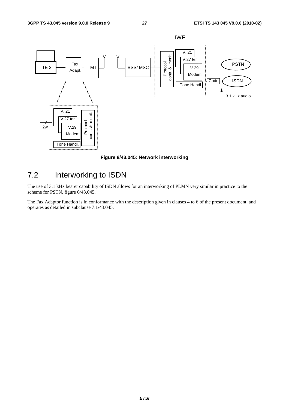

**Figure 8/43.045: Network interworking** 

# 7.2 Interworking to ISDN

The use of 3,1 kHz bearer capability of ISDN allows for an interworking of PLMN very similar in practice to the scheme for PSTN, figure 6/43.045.

The Fax Adaptor function is in conformance with the description given in clauses 4 to 6 of the present document, and operates as detailed in subclause 7.1/43.045.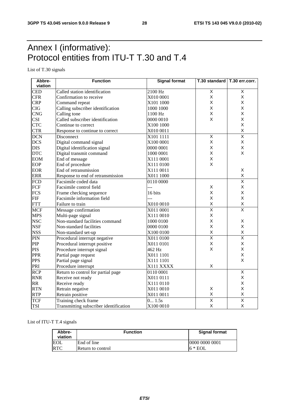# Annex I (informative): Protocol entities from ITU-T T.30 and T.4

List of T.30 signals

| Abbre-           | <b>Function</b>                        | <b>Signal format</b><br>T.30 standard   T.30 err.corr. |                         |                         |  |
|------------------|----------------------------------------|--------------------------------------------------------|-------------------------|-------------------------|--|
| viation          |                                        |                                                        |                         |                         |  |
| <b>CED</b>       | Called station identification          | 2100 Hz                                                | $\overline{X}$          | $\overline{X}$          |  |
| <b>CFR</b>       | Confirmation to receive                | X010 0001                                              | $\pmb{\times}$          | X                       |  |
| <b>CRP</b>       | Command repeat                         | X101 1000                                              | X                       | X                       |  |
| <b>CIG</b>       | Calling subscriber identification      | 1000 1000                                              | X                       | Χ                       |  |
| <b>CNG</b>       | Calling tone                           | 1100 Hz                                                | $\mathsf{X}$            | X                       |  |
| <b>CSI</b>       | Called subscriber identification       | 0000 0010                                              | $\mathsf{X}$            | X                       |  |
| <b>CTC</b>       | Continue to correct                    | X100 1000                                              |                         | X                       |  |
| <b>CTR</b>       | Response to continue to correct        | X010 0011                                              |                         | $\sf X$                 |  |
| <b>DCN</b>       | Disconnect                             | X101 1111                                              | $\overline{\mathsf{X}}$ | $\overline{\mathsf{x}}$ |  |
| <b>DCS</b>       | Digital command signal                 | X100 0001                                              | X                       | X                       |  |
| <b>DIS</b>       | Digital identification signal          | 0000 0001                                              | X                       | Χ                       |  |
| <b>DTC</b>       | Digital transmit command               | 1000 0001                                              | $\mathsf X$             | X                       |  |
| <b>EOM</b>       | End of message                         | X111 0001                                              | X                       |                         |  |
| <b>EOP</b>       | End of procedure                       | X111 0100                                              | $\mathsf{X}$            |                         |  |
| <b>EOR</b>       | End of retransmission                  | X111 0011                                              |                         | X                       |  |
| <b>ERR</b>       | Response to end of retransmission      | X011 1000                                              |                         | X                       |  |
| <b>FCD</b>       | Facsimile coded data                   | 0110 0000                                              |                         | $\overline{\mathsf{x}}$ |  |
| FCF              | Facsimile control field                |                                                        | X                       | X                       |  |
| <b>FCS</b>       | Frame checking sequence                | 16 bits                                                | $\mathsf{X}$            | X                       |  |
| FIF              | Facsimile information field            | ---                                                    | $\mathsf X$             | X                       |  |
| <b>FTT</b>       | Failure to train                       | X010 0010                                              | $\sf X$                 | X                       |  |
| <b>MCF</b>       | Message confirmation                   | X011 0001                                              | $\overline{\mathsf{x}}$ | $\overline{\mathsf{x}}$ |  |
| <b>MPS</b>       | Multi-page signal                      | X111 0010                                              | $\mathsf X$             |                         |  |
| <b>NSC</b>       | Non-standard facilities command        | 1000 0100                                              | X                       | Χ                       |  |
| <b>NSF</b>       | Non-standard facilities                | 0000 0100                                              | X                       | X                       |  |
| <b>NSS</b>       | Non-standard set-up                    | X100 0100                                              | $\sf X$                 | X                       |  |
| PIN              | Procedural interrupt negative          | X011 0100                                              | $\overline{\mathsf{X}}$ | $\overline{\mathsf{x}}$ |  |
| PIP              | Procedural interrupt positive          | X011 0101                                              | $\mathsf{X}$            | X                       |  |
| <b>PIS</b>       | Procedure interrupt signal             | 462 Hz                                                 | $\mathsf{X}$            | X                       |  |
| <b>PPR</b>       | Partial page request                   | X011 1101                                              |                         | X                       |  |
| <b>PPS</b>       | Partial page signal                    | X111 1101                                              |                         | X                       |  |
| PRI              | Procedure interrupt                    | X111 XXXX                                              | X                       |                         |  |
| $\overline{RCP}$ | Return to control for partial page     | 0110 0001                                              |                         | $\overline{\mathsf{x}}$ |  |
| <b>RNR</b>       | Receive not ready                      | X011 0111                                              |                         | Χ                       |  |
| <b>RR</b>        | Receive ready                          | X111 0110                                              |                         | Χ                       |  |
| <b>RTN</b>       | Retrain negative                       | X011 0010                                              | X                       | X                       |  |
| <b>RTP</b>       | Retrain positive                       | X011 0011                                              | $\sf X$                 | X                       |  |
| <b>TCF</b>       | Training check frame                   | 0 1.5s                                                 | $\overline{\mathsf{x}}$ | $\overline{\mathsf{x}}$ |  |
| <b>TSI</b>       | Transmitting subscriber identification | X100 0010                                              | $\sf X$                 | X                       |  |

#### List of ITU-T T.4 signals

| Abbre-<br>viation | <b>Function</b>          | <b>Signal format</b> |
|-------------------|--------------------------|----------------------|
| <b>EOL</b>        | End of line              | 10000 0000 0001      |
| <b>RTC</b>        | <b>Return to control</b> | $6 * EOL$            |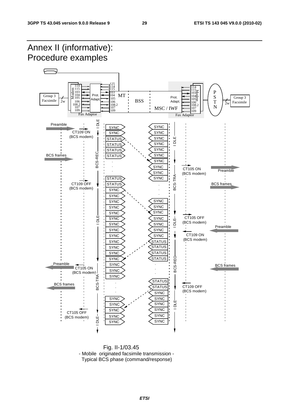

 Fig. II-1/03.45 - Mobile originated facsimile transmission - Typical BCS phase (command/response)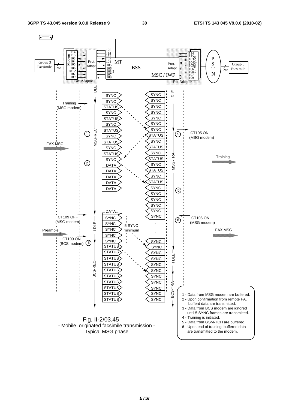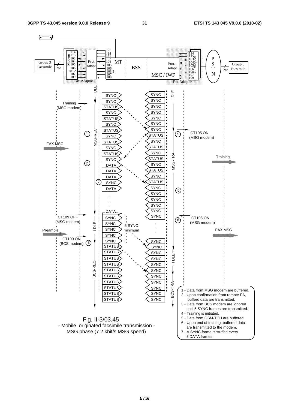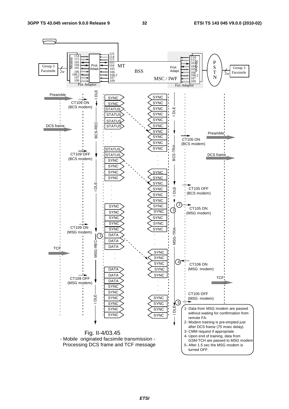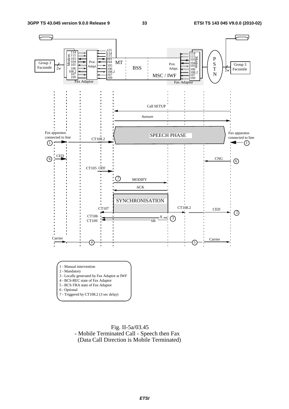

 Fig. II-5a/03.45 - Mobile Terminated Call - Speech then Fax (Data Call Direction is Mobile Terminated)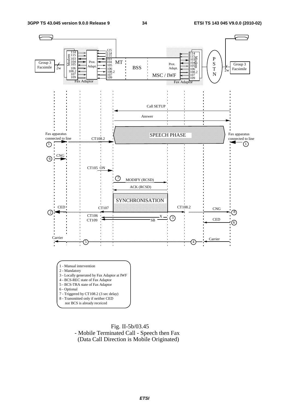

 Fig. II-5b/03.45 - Mobile Terminated Call - Speech then Fax (Data Call Direction is Mobile Originated)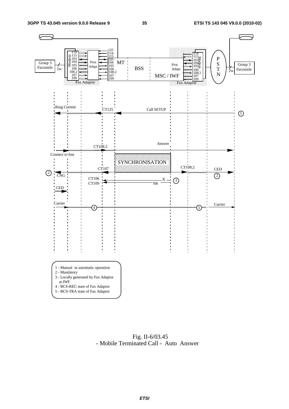

 Fig. II-6/03.45 - Mobile Terminated Call - Auto Answer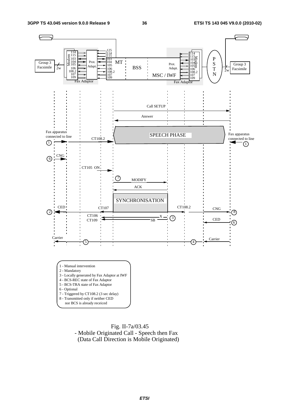![](_page_36_Figure_3.jpeg)

![](_page_36_Figure_4.jpeg)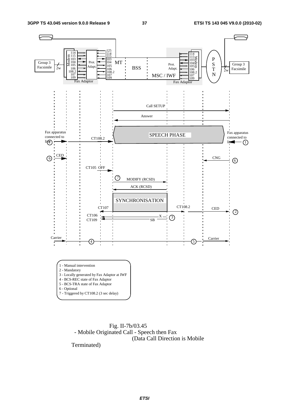![](_page_37_Figure_3.jpeg)

 Fig. II-7b/03.45 - Mobile Originated Call - Speech then Fax (Data Call Direction is Mobile

Terminated)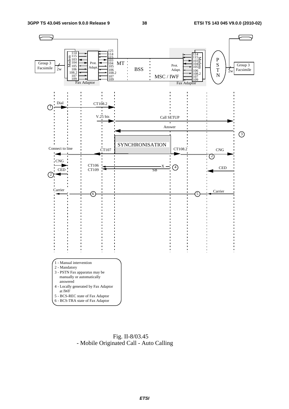![](_page_38_Figure_3.jpeg)

 Fig. II-8/03.45 - Mobile Originated Call - Auto Calling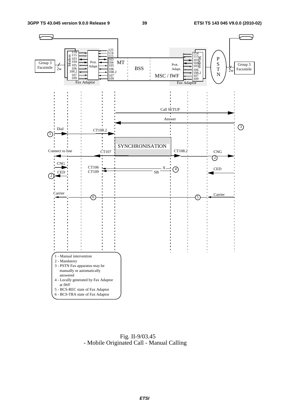![](_page_39_Figure_3.jpeg)

 Fig. II-9/03.45 - Mobile Originated Call - Manual Calling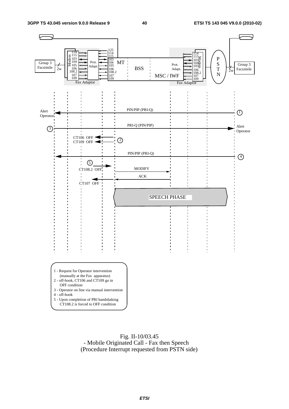![](_page_40_Figure_3.jpeg)

![](_page_40_Figure_4.jpeg)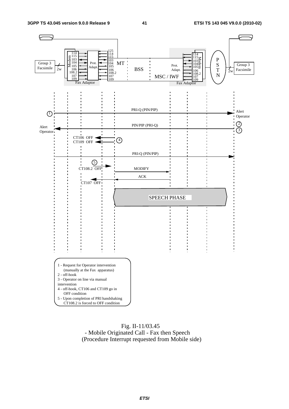![](_page_41_Figure_3.jpeg)

#### Fig. II-11/03.45 - Mobile Originated Call - Fax then Speech (Procedure Interrupt requested from Mobile side)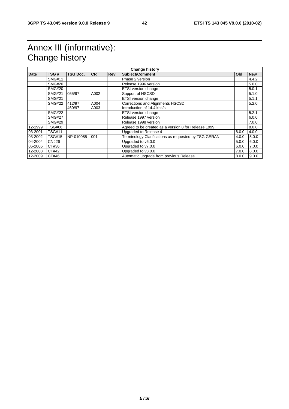# Annex III (informative): Change history

| <b>Date</b> | TSG#          | <b>TSG Doc.</b> | <b>CR</b> | <b>Rev</b> | <b>Change history</b><br><b>Subject/Comment</b>      | <b>Old</b> | <b>New</b> |
|-------------|---------------|-----------------|-----------|------------|------------------------------------------------------|------------|------------|
|             | <b>SMG#11</b> |                 |           |            | Phase 2 version                                      |            | 4.4.2      |
|             | <b>SMG#20</b> |                 |           |            | Release 1996 version                                 |            | 5.0.0      |
|             | <b>SMG#20</b> |                 |           |            | ETSI version change                                  |            | 5.0.1      |
|             | <b>SMG#21</b> | 055/97          | A002      |            | Support of HSCSD                                     |            | 5.1.0      |
|             | <b>SMG#21</b> |                 |           |            | ETSI version change                                  |            | 5.1.1      |
|             | <b>SMG#22</b> | 412/97          | A004      |            | Corrections and Alignments HSCSD                     |            | 5.2.0      |
|             |               | 460/97          | A003      |            | Introduction of 14.4 kbit/s                          |            |            |
|             | <b>SMG#22</b> |                 |           |            | ETSI version change                                  |            | 5.2.1      |
|             | <b>SMG#27</b> |                 |           |            | Release 1997 version                                 |            | 6.0.0      |
|             | <b>SMG#29</b> |                 |           |            | Release 1998 version                                 |            | 7.0.0      |
| 12-1999     | <b>TSG#06</b> |                 |           |            | Agreed to be created as a version 8 for Release 1999 |            | 8.0.0      |
| 03-2001     | <b>TSG#11</b> |                 |           |            | Upgraded to Release 4                                | 8.0.0      | 4.0.0      |
| 03-2002     | <b>TSG#15</b> | NP-010085       | 001       |            | Terminology Clarifications as requested by TSG GERAN | 4.0.0      | 5.0.0      |
| 04-2004     | <b>CN#26</b>  |                 |           |            | Upgraded to v6.0.0                                   | 5.0.0      | 6.0.0      |
| 06-2006     | CT#36         |                 |           |            | Upgraded to v7.0.0                                   | 6.0.0      | 7.0.0      |
| 12-2008     | CT#42         |                 |           |            | Upgraded to v8.0.0                                   | 7.0.0      | 8.0.0      |
| 12-2009     | CT#46         |                 |           |            | Automatic upgrade from previous Release              | 8.0.0      | 9.0.0      |